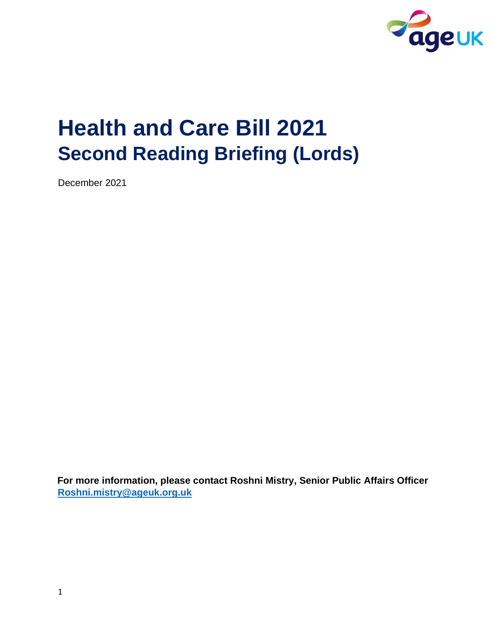

# **Health and Care Bill 2021 Second Reading Briefing (Lords)**

December 2021

**For more information, please contact Roshni Mistry, Senior Public Affairs Officer Roshni.mistry@ageuk.org.uk**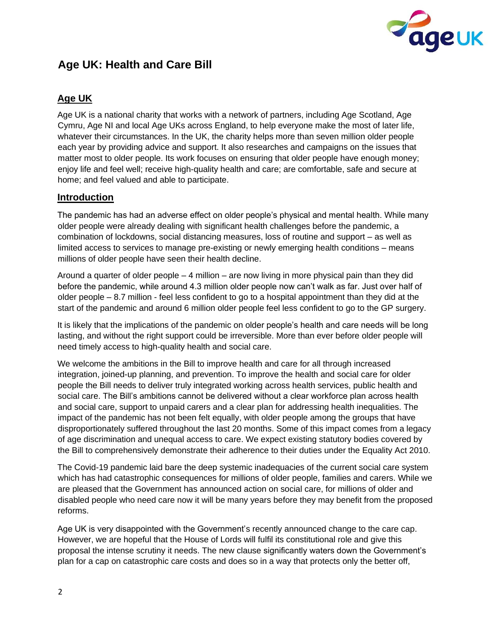

# **Age UK: Health and Care Bill**

# **Age UK**

Age UK is a national charity that works with a network of partners, including Age Scotland, Age Cymru, Age NI and local Age UKs across England, to help everyone make the most of later life, whatever their circumstances. In the UK, the charity helps more than seven million older people each year by providing advice and support. It also researches and campaigns on the issues that matter most to older people. Its work focuses on ensuring that older people have enough money; enjoy life and feel well; receive high-quality health and care; are comfortable, safe and secure at home; and feel valued and able to participate.

# **Introduction**

The pandemic has had an adverse effect on older people's physical and mental health. While many older people were already dealing with significant health challenges before the pandemic, a combination of lockdowns, social distancing measures, loss of routine and support – as well as limited access to services to manage pre-existing or newly emerging health conditions – means millions of older people have seen their health decline.

Around a quarter of older people – 4 million – are now living in more physical pain than they did before the pandemic, while around 4.3 million older people now can't walk as far. Just over half of older people – 8.7 million - feel less confident to go to a hospital appointment than they did at the start of the pandemic and around 6 million older people feel less confident to go to the GP surgery.

It is likely that the implications of the pandemic on older people's health and care needs will be long lasting, and without the right support could be irreversible. More than ever before older people will need timely access to high-quality health and social care.

We welcome the ambitions in the Bill to improve health and care for all through increased integration, joined-up planning, and prevention. To improve the health and social care for older people the Bill needs to deliver truly integrated working across health services, public health and social care. The Bill's ambitions cannot be delivered without a clear workforce plan across health and social care, support to unpaid carers and a clear plan for addressing health inequalities. The impact of the pandemic has not been felt equally, with older people among the groups that have disproportionately suffered throughout the last 20 months. Some of this impact comes from a legacy of age discrimination and unequal access to care. We expect existing statutory bodies covered by the Bill to comprehensively demonstrate their adherence to their duties under the Equality Act 2010.

The Covid-19 pandemic laid bare the deep systemic inadequacies of the current social care system which has had catastrophic consequences for millions of older people, families and carers. While we are pleased that the Government has announced action on social care, for millions of older and disabled people who need care now it will be many years before they may benefit from the proposed reforms.

Age UK is very disappointed with the Government's recently announced change to the care cap. However, we are hopeful that the House of Lords will fulfil its constitutional role and give this proposal the intense scrutiny it needs. The new clause significantly waters down the Government's plan for a cap on catastrophic care costs and does so in a way that protects only the better off,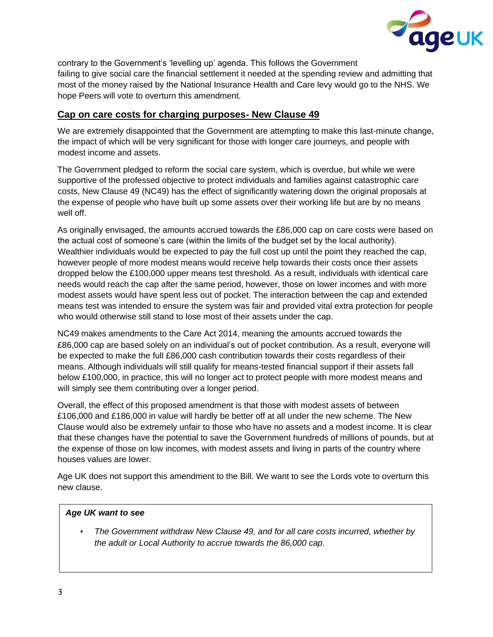

contrary to the Government's 'levelling up' agenda. This follows the Government failing to give social care the financial settlement it needed at the spending review and admitting that most of the money raised by the National Insurance Health and Care levy would go to the NHS. We hope Peers will vote to overturn this amendment.

#### **Cap on care costs for charging purposes- New Clause 49**

We are extremely disappointed that the Government are attempting to make this last-minute change, the impact of which will be very significant for those with longer care journeys, and people with modest income and assets.

The Government pledged to reform the social care system, which is overdue, but while we were supportive of the professed objective to protect individuals and families against catastrophic care costs, New Clause 49 (NC49) has the effect of significantly watering down the original proposals at the expense of people who have built up some assets over their working life but are by no means well off.

As originally envisaged, the amounts accrued towards the £86,000 cap on care costs were based on the actual cost of someone's care (within the limits of the budget set by the local authority). Wealthier individuals would be expected to pay the full cost up until the point they reached the cap, however people of more modest means would receive help towards their costs once their assets dropped below the £100,000 upper means test threshold. As a result, individuals with identical care needs would reach the cap after the same period, however, those on lower incomes and with more modest assets would have spent less out of pocket. The interaction between the cap and extended means test was intended to ensure the system was fair and provided vital extra protection for people who would otherwise still stand to lose most of their assets under the cap.

NC49 makes amendments to the Care Act 2014, meaning the amounts accrued towards the £86,000 cap are based solely on an individual's out of pocket contribution. As a result, everyone will be expected to make the full £86,000 cash contribution towards their costs regardless of their means. Although individuals will still qualify for means-tested financial support if their assets fall below £100,000, in practice, this will no longer act to protect people with more modest means and will simply see them contributing over a longer period.

Overall, the effect of this proposed amendment is that those with modest assets of between £106,000 and £186,000 in value will hardly be better off at all under the new scheme. The New Clause would also be extremely unfair to those who have no assets and a modest income. It is clear that these changes have the potential to save the Government hundreds of millions of pounds, but at the expense of those on low incomes, with modest assets and living in parts of the country where houses values are lower.

Age UK does not support this amendment to the Bill. We want to see the Lords vote to overturn this new clause.

#### *Age UK want to see*

• *The Government withdraw New Clause 49, and for all care costs incurred, whether by the adult or Local Authority to accrue towards the 86,000 cap.*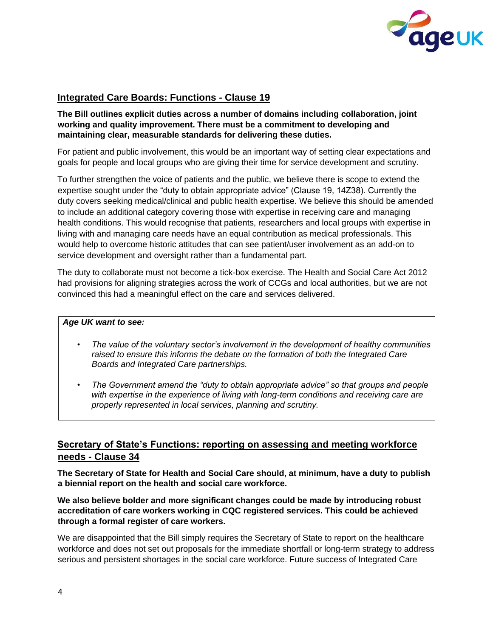

## **Integrated Care Boards: Functions - Clause 19**

#### **The Bill outlines explicit duties across a number of domains including collaboration, joint working and quality improvement. There must be a commitment to developing and maintaining clear, measurable standards for delivering these duties.**

For patient and public involvement, this would be an important way of setting clear expectations and goals for people and local groups who are giving their time for service development and scrutiny.

To further strengthen the voice of patients and the public, we believe there is scope to extend the expertise sought under the "duty to obtain appropriate advice" (Clause 19, 14Z38). Currently the duty covers seeking medical/clinical and public health expertise. We believe this should be amended to include an additional category covering those with expertise in receiving care and managing health conditions. This would recognise that patients, researchers and local groups with expertise in living with and managing care needs have an equal contribution as medical professionals. This would help to overcome historic attitudes that can see patient/user involvement as an add-on to service development and oversight rather than a fundamental part.

The duty to collaborate must not become a tick-box exercise. The Health and Social Care Act 2012 had provisions for aligning strategies across the work of CCGs and local authorities, but we are not convinced this had a meaningful effect on the care and services delivered.

#### *Age UK want to see:*

- *The value of the voluntary sector's involvement in the development of healthy communities raised to ensure this informs the debate on the formation of both the Integrated Care Boards and Integrated Care partnerships.*
- *The Government amend the "duty to obtain appropriate advice" so that groups and people with expertise in the experience of living with long-term conditions and receiving care are properly represented in local services, planning and scrutiny.*

#### **Secretary of State's Functions: reporting on assessing and meeting workforce needs - Clause 34**

**The Secretary of State for Health and Social Care should, at minimum, have a duty to publish a biennial report on the health and social care workforce.** 

**We also believe bolder and more significant changes could be made by introducing robust accreditation of care workers working in CQC registered services. This could be achieved through a formal register of care workers.** 

We are disappointed that the Bill simply requires the Secretary of State to report on the healthcare workforce and does not set out proposals for the immediate shortfall or long-term strategy to address serious and persistent shortages in the social care workforce. Future success of Integrated Care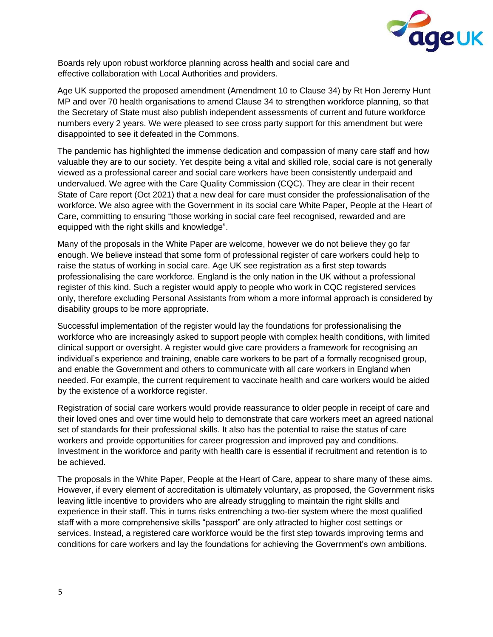

Boards rely upon robust workforce planning across health and social care and effective collaboration with Local Authorities and providers.

Age UK supported the proposed amendment (Amendment 10 to Clause 34) by Rt Hon Jeremy Hunt MP and over 70 health organisations to amend Clause 34 to strengthen workforce planning, so that the Secretary of State must also publish independent assessments of current and future workforce numbers every 2 years. We were pleased to see cross party support for this amendment but were disappointed to see it defeated in the Commons.

The pandemic has highlighted the immense dedication and compassion of many care staff and how valuable they are to our society. Yet despite being a vital and skilled role, social care is not generally viewed as a professional career and social care workers have been consistently underpaid and undervalued. We agree with the Care Quality Commission (CQC). They are clear in their recent State of Care report (Oct 2021) that a new deal for care must consider the professionalisation of the workforce. We also agree with the Government in its social care White Paper, People at the Heart of Care, committing to ensuring "those working in social care feel recognised, rewarded and are equipped with the right skills and knowledge".

Many of the proposals in the White Paper are welcome, however we do not believe they go far enough. We believe instead that some form of professional register of care workers could help to raise the status of working in social care. Age UK see registration as a first step towards professionalising the care workforce. England is the only nation in the UK without a professional register of this kind. Such a register would apply to people who work in CQC registered services only, therefore excluding Personal Assistants from whom a more informal approach is considered by disability groups to be more appropriate.

Successful implementation of the register would lay the foundations for professionalising the workforce who are increasingly asked to support people with complex health conditions, with limited clinical support or oversight. A register would give care providers a framework for recognising an individual's experience and training, enable care workers to be part of a formally recognised group, and enable the Government and others to communicate with all care workers in England when needed. For example, the current requirement to vaccinate health and care workers would be aided by the existence of a workforce register.

Registration of social care workers would provide reassurance to older people in receipt of care and their loved ones and over time would help to demonstrate that care workers meet an agreed national set of standards for their professional skills. It also has the potential to raise the status of care workers and provide opportunities for career progression and improved pay and conditions. Investment in the workforce and parity with health care is essential if recruitment and retention is to be achieved.

The proposals in the White Paper, People at the Heart of Care, appear to share many of these aims. However, if every element of accreditation is ultimately voluntary, as proposed, the Government risks leaving little incentive to providers who are already struggling to maintain the right skills and experience in their staff. This in turns risks entrenching a two-tier system where the most qualified staff with a more comprehensive skills "passport" are only attracted to higher cost settings or services. Instead, a registered care workforce would be the first step towards improving terms and conditions for care workers and lay the foundations for achieving the Government's own ambitions.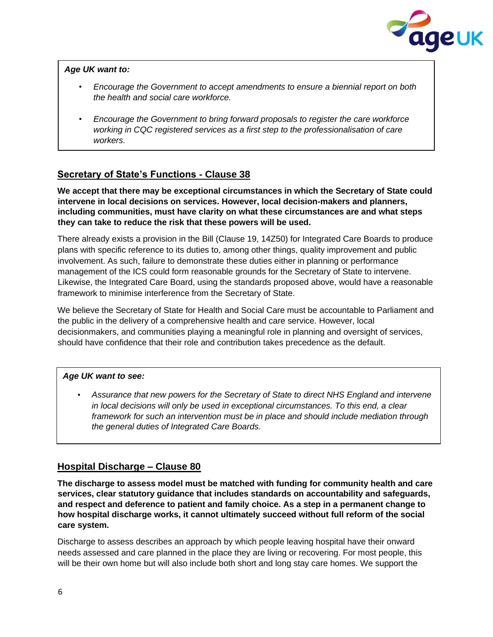

#### *Age UK want to:*

- *Encourage the Government to accept amendments to ensure a biennial report on both the health and social care workforce.*
- *Encourage the Government to bring forward proposals to register the care workforce working in CQC registered services as a first step to the professionalisation of care workers.*

# **Secretary of State's Functions - Clause 38**

**We accept that there may be exceptional circumstances in which the Secretary of State could intervene in local decisions on services. However, local decision-makers and planners, including communities, must have clarity on what these circumstances are and what steps they can take to reduce the risk that these powers will be used.** 

There already exists a provision in the Bill (Clause 19, 14Z50) for Integrated Care Boards to produce plans with specific reference to its duties to, among other things, quality improvement and public involvement. As such, failure to demonstrate these duties either in planning or performance management of the ICS could form reasonable grounds for the Secretary of State to intervene. Likewise, the Integrated Care Board, using the standards proposed above, would have a reasonable framework to minimise interference from the Secretary of State.

We believe the Secretary of State for Health and Social Care must be accountable to Parliament and the public in the delivery of a comprehensive health and care service. However, local decisionmakers, and communities playing a meaningful role in planning and oversight of services, should have confidence that their role and contribution takes precedence as the default.

#### *Age UK want to see:*

• *Assurance that new powers for the Secretary of State to direct NHS England and intervene in local decisions will only be used in exceptional circumstances. To this end, a clear framework for such an intervention must be in place and should include mediation through the general duties of Integrated Care Boards.* 

### **Hospital Discharge – Clause 80**

**The discharge to assess model must be matched with funding for community health and care services, clear statutory guidance that includes standards on accountability and safeguards, and respect and deference to patient and family choice. As a step in a permanent change to how hospital discharge works, it cannot ultimately succeed without full reform of the social care system.** 

Discharge to assess describes an approach by which people leaving hospital have their onward needs assessed and care planned in the place they are living or recovering. For most people, this will be their own home but will also include both short and long stay care homes. We support the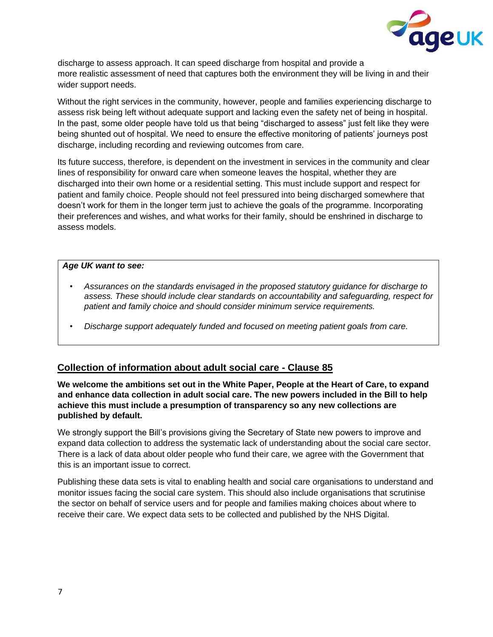

discharge to assess approach. It can speed discharge from hospital and provide a more realistic assessment of need that captures both the environment they will be living in and their wider support needs.

Without the right services in the community, however, people and families experiencing discharge to assess risk being left without adequate support and lacking even the safety net of being in hospital. In the past, some older people have told us that being "discharged to assess" just felt like they were being shunted out of hospital. We need to ensure the effective monitoring of patients' journeys post discharge, including recording and reviewing outcomes from care.

Its future success, therefore, is dependent on the investment in services in the community and clear lines of responsibility for onward care when someone leaves the hospital, whether they are discharged into their own home or a residential setting. This must include support and respect for patient and family choice. People should not feel pressured into being discharged somewhere that doesn't work for them in the longer term just to achieve the goals of the programme. Incorporating their preferences and wishes, and what works for their family, should be enshrined in discharge to assess models.

#### *Age UK want to see:*

- *Assurances on the standards envisaged in the proposed statutory guidance for discharge to assess. These should include clear standards on accountability and safeguarding, respect for patient and family choice and should consider minimum service requirements.*
- *Discharge support adequately funded and focused on meeting patient goals from care.*

### **Collection of information about adult social care - Clause 85**

**We welcome the ambitions set out in the White Paper, People at the Heart of Care, to expand and enhance data collection in adult social care. The new powers included in the Bill to help achieve this must include a presumption of transparency so any new collections are published by default.** 

We strongly support the Bill's provisions giving the Secretary of State new powers to improve and expand data collection to address the systematic lack of understanding about the social care sector. There is a lack of data about older people who fund their care, we agree with the Government that this is an important issue to correct.

Publishing these data sets is vital to enabling health and social care organisations to understand and monitor issues facing the social care system. This should also include organisations that scrutinise the sector on behalf of service users and for people and families making choices about where to receive their care. We expect data sets to be collected and published by the NHS Digital.